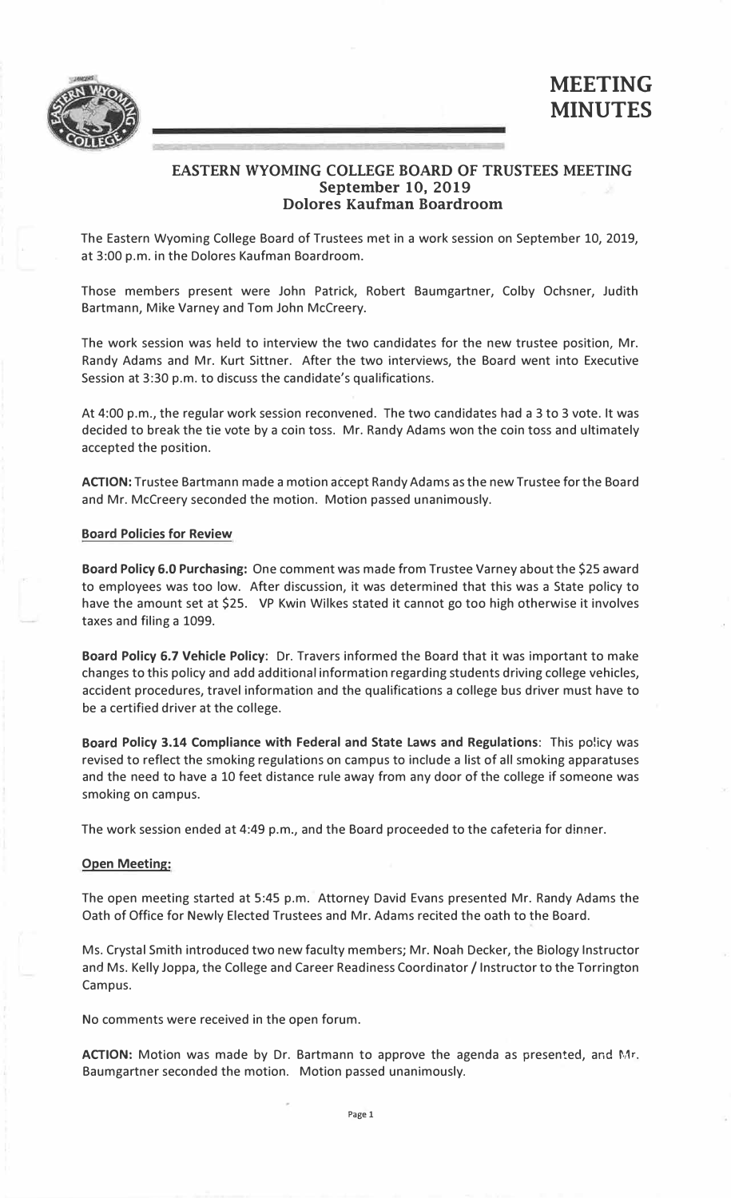

# **EASTERN WYOMING COLLEGE BOARD OF TRUSTEES MEETING September 10, 2019 Dolores Kaufman Boardroom**

The Eastern Wyoming College Board of Trustees met in a work session on September 10, 2019, at 3:00 p.m. in the Dolores Kaufman Boardroom.

Those members present were John Patrick, Robert Baumgartner, Colby Ochsner, Judith Bartmann, Mike Varney and Tom John Mccreery.

The work session was held to interview the two candidates for the new trustee position, Mr. Randy Adams and Mr. Kurt Sittner. After the two interviews, the Board went into Executive Session at 3:30 p.m. to discuss the candidate's qualifications.

At 4:00 p.m., the regular work session reconvened. The two candidates had a 3 to 3 vote. It was decided to break the tie vote by a coin toss. Mr. Randy Adams won the coin toss and ultimately accepted the position.

**ACTION:** Trustee Bartmann made a motion accept Randy Adams as the new Trustee for the Board and Mr. Mccreery seconded the motion. Motion passed unanimously.

## **Board Policies for Review**

**Board Policy 6.0 Purchasing:** One comment was made from Trustee Varney about the \$25 award to employees was too low. After discussion, it was determined that this was a State policy to have the amount set at \$25. VP Kwin Wilkes stated it cannot go too high otherwise it involves taxes and filing a 1099.

**Board Policy 6.7 Vehicle Policy:** Dr. Travers informed the Board that it was important to make changes to this policy and add additional information regarding students driving college vehicles, accident procedures, travel information and the qualifications a college bus driver must have to be a certified driver at the college.

**Board Policy 3.14 Compliance with Federal and State Laws and Regulations:** This po!icy was revised to reflect the smoking regulations on campus to include a list of all smoking apparatuses and the need to have a 10 feet distance rule away from any door of the college if someone was smoking on campus.

The work session ended at 4:49 p.m., and the Board proceeded to the cafeteria for dinner.

#### **Open Meeting:**

The open meeting started at 5:45 p.m. Attorney David Evans presented Mr. Randy Adams the Oath of Office for Newly Elected Trustees and Mr. Adams recited the oath to the Board.

Ms. Crystal Smith introduced two new faculty members; Mr. Noah Decker, the Biology Instructor and Ms. Kelly Joppa, the College and Career Readiness Coordinator / Instructor to the Torrington Campus.

No comments were received in the open forum.

**ACTION:** Motion was made by Dr. Bartmann to approve the agenda as presented, and Mr. Baumgartner seconded the motion. Motion passed unanimously.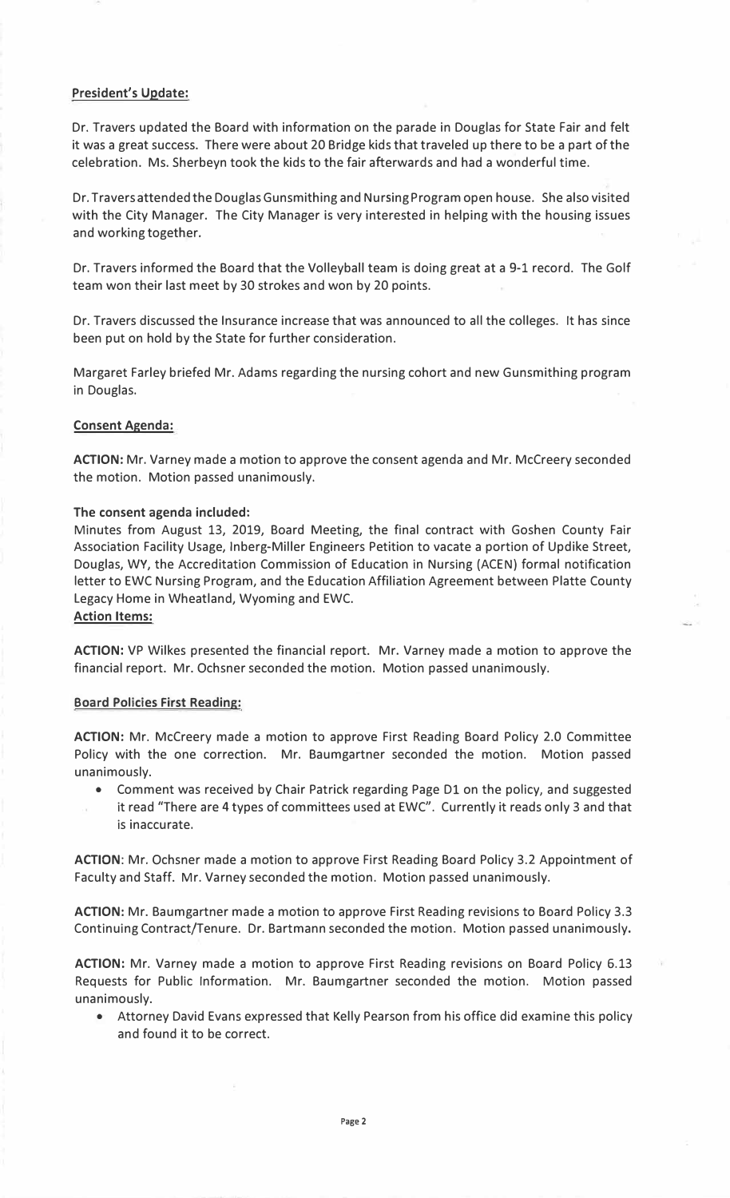# **President's Update:**

Dr. Travers updated the Board with information on the parade in Douglas for State Fair and felt it was a great success. There were about 20 Bridge kids that traveled up there to be a part of the celebration. Ms. Sherbeyn took the kids to the fair afterwards and had a wonderful time.

Dr. Travers attended the Douglas Gunsmithing and Nursing Program open house. She also visited with the City Manager. The City Manager is very interested in helping with the housing issues and working together.

Dr. Travers informed the Board that the Volleyball team is doing great at a 9-1 record. The Golf team won their last meet by 30 strokes and won by 20 points.

Dr. Travers discussed the Insurance increase that was announced to all the colleges. It has since been put on hold by the State for further consideration.

Margaret Farley briefed Mr. Adams regarding the nursing cohort and new Gunsmithing program in Douglas.

### **Consent Agenda:**

**ACTION:** Mr. Varney made a motion to approve the consent agenda and Mr. Mccreery seconded the motion. Motion passed unanimously.

### **The consent agenda included:**

Minutes from August 13, 2019, Board Meeting, the final contract with Goshen County Fair Association Facility Usage, lnberg-Miller Engineers Petition to vacate a portion of Updike Street, Douglas, WY, the Accreditation Commission of Education in Nursing (ACEN) formal notification letter to EWC Nursing Program, and the Education Affiliation Agreement between Platte County Legacy Home in Wheatland, Wyoming and EWC.

### **Action Items:**

**ACTION:** VP Wilkes presented the financial report. Mr. Varney made a motion to approve the financial report. Mr. Ochsner seconded the motion. Motion passed unanimously.

# **Board Policies First Reading:**

**ACTION:** Mr. Mccreery made a motion to approve First Reading Board Policy 2.0 Committee Policy with the one correction. Mr. Baumgartner seconded the motion. Motion passed unanimously.

- Comment was received by Chair Patrick regarding Page Dl on the policy, and suggested
- it read "There are 4 types of committees used at EWC". Currently it reads only 3 and that is inaccurate.

**ACTION:** Mr. Ochsner made a motion to approve First Reading Board Policy 3.2 Appointment of Faculty and Staff. Mr. Varney seconded the motion. Motion passed unanimously.

**ACTION:** Mr. Baumgartner made a motion to approve First Reading revisions to Board Policy 3.3 Continuing Contract/Tenure. Dr. Bartmann seconded the motion. Motion passed unanimously.

**ACTION:** Mr. Varney made a motion to approve First Reading revisions on Board Policy 6.13 Requests for Public Information. Mr. Baumgartner seconded the motion. Motion passed unanimously.

• Attorney David Evans expressed that Kelly Pearson from his office did examine this policy and found it to be correct.